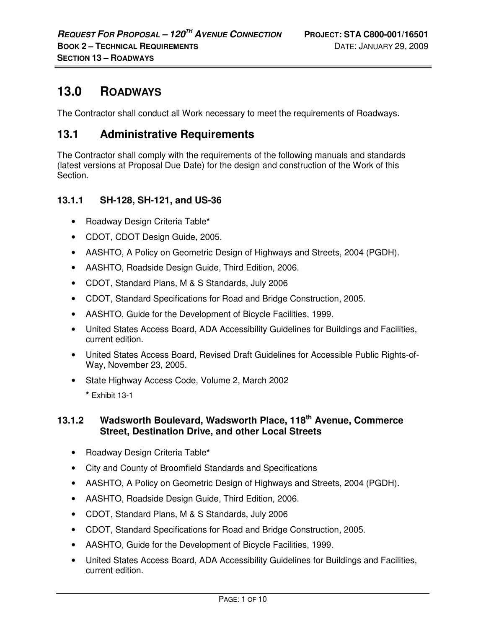# **13.0 ROADWAYS**

The Contractor shall conduct all Work necessary to meet the requirements of Roadways.

# **13.1 Administrative Requirements**

The Contractor shall comply with the requirements of the following manuals and standards (latest versions at Proposal Due Date) for the design and construction of the Work of this Section.

# **13.1.1 SH-128, SH-121, and US-36**

- Roadway Design Criteria Table**\***
- CDOT, CDOT Design Guide, 2005.
- AASHTO, A Policy on Geometric Design of Highways and Streets, 2004 (PGDH).
- AASHTO, Roadside Design Guide, Third Edition, 2006.
- CDOT, Standard Plans, M & S Standards, July 2006
- CDOT, Standard Specifications for Road and Bridge Construction, 2005.
- AASHTO, Guide for the Development of Bicycle Facilities, 1999.
- United States Access Board, ADA Accessibility Guidelines for Buildings and Facilities, current edition.
- United States Access Board, Revised Draft Guidelines for Accessible Public Rights-of-Way, November 23, 2005.
- State Highway Access Code, Volume 2, March 2002 **\*** Exhibit 13-1

# **13.1.2 Wadsworth Boulevard, Wadsworth Place, 118th Avenue, Commerce Street, Destination Drive, and other Local Streets**

- Roadway Design Criteria Table**\***
- City and County of Broomfield Standards and Specifications
- AASHTO, A Policy on Geometric Design of Highways and Streets, 2004 (PGDH).
- AASHTO, Roadside Design Guide, Third Edition, 2006.
- CDOT, Standard Plans, M & S Standards, July 2006
- CDOT, Standard Specifications for Road and Bridge Construction, 2005.
- AASHTO, Guide for the Development of Bicycle Facilities, 1999.
- United States Access Board, ADA Accessibility Guidelines for Buildings and Facilities, current edition.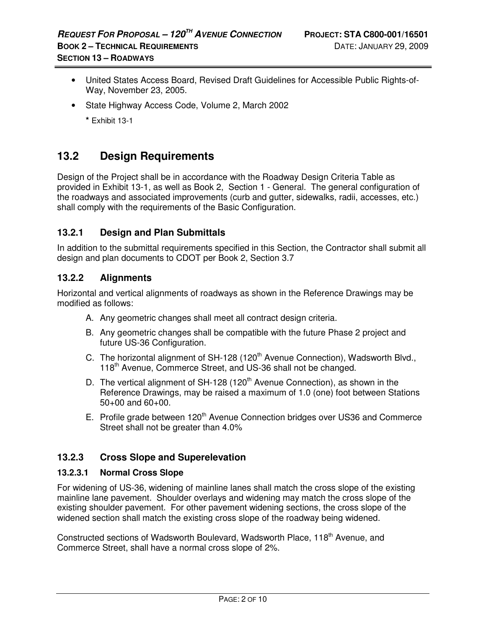- United States Access Board, Revised Draft Guidelines for Accessible Public Rights-of-Way, November 23, 2005.
- State Highway Access Code, Volume 2, March 2002
	- **\*** Exhibit 13-1

# **13.2 Design Requirements**

Design of the Project shall be in accordance with the Roadway Design Criteria Table as provided in Exhibit 13-1, as well as Book 2, Section 1 - General. The general configuration of the roadways and associated improvements (curb and gutter, sidewalks, radii, accesses, etc.) shall comply with the requirements of the Basic Configuration.

# **13.2.1 Design and Plan Submittals**

In addition to the submittal requirements specified in this Section, the Contractor shall submit all design and plan documents to CDOT per Book 2, Section 3.7

# **13.2.2 Alignments**

Horizontal and vertical alignments of roadways as shown in the Reference Drawings may be modified as follows:

- A. Any geometric changes shall meet all contract design criteria.
- B. Any geometric changes shall be compatible with the future Phase 2 project and future US-36 Configuration.
- C. The horizontal alignment of SH-128 (120<sup>th</sup> Avenue Connection), Wadsworth Blvd., 118<sup>th</sup> Avenue, Commerce Street, and US-36 shall not be changed.
- D. The vertical alignment of SH-128 (120<sup>th</sup> Avenue Connection), as shown in the Reference Drawings, may be raised a maximum of 1.0 (one) foot between Stations 50+00 and 60+00.
- E. Profile grade between  $120<sup>th</sup>$  Avenue Connection bridges over US36 and Commerce Street shall not be greater than 4.0%

# **13.2.3 Cross Slope and Superelevation**

#### **13.2.3.1 Normal Cross Slope**

For widening of US-36, widening of mainline lanes shall match the cross slope of the existing mainline lane pavement. Shoulder overlays and widening may match the cross slope of the existing shoulder pavement. For other pavement widening sections, the cross slope of the widened section shall match the existing cross slope of the roadway being widened.

Constructed sections of Wadsworth Boulevard, Wadsworth Place, 118<sup>th</sup> Avenue, and Commerce Street, shall have a normal cross slope of 2%.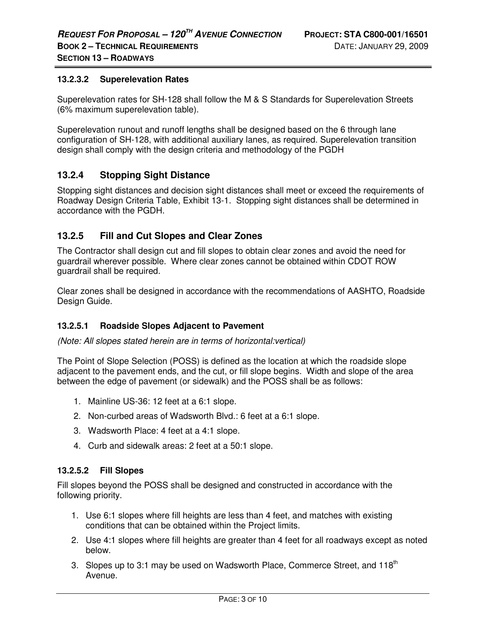#### **13.2.3.2 Superelevation Rates**

Superelevation rates for SH-128 shall follow the M & S Standards for Superelevation Streets (6% maximum superelevation table).

Superelevation runout and runoff lengths shall be designed based on the 6 through lane configuration of SH-128, with additional auxiliary lanes, as required. Superelevation transition design shall comply with the design criteria and methodology of the PGDH

### **13.2.4 Stopping Sight Distance**

Stopping sight distances and decision sight distances shall meet or exceed the requirements of Roadway Design Criteria Table, Exhibit 13-1. Stopping sight distances shall be determined in accordance with the PGDH.

### **13.2.5 Fill and Cut Slopes and Clear Zones**

The Contractor shall design cut and fill slopes to obtain clear zones and avoid the need for guardrail wherever possible. Where clear zones cannot be obtained within CDOT ROW guardrail shall be required.

Clear zones shall be designed in accordance with the recommendations of AASHTO, Roadside Design Guide.

#### **13.2.5.1 Roadside Slopes Adjacent to Pavement**

(Note: All slopes stated herein are in terms of horizontal:vertical)

The Point of Slope Selection (POSS) is defined as the location at which the roadside slope adjacent to the pavement ends, and the cut, or fill slope begins. Width and slope of the area between the edge of pavement (or sidewalk) and the POSS shall be as follows:

- 1. Mainline US-36: 12 feet at a 6:1 slope.
- 2. Non-curbed areas of Wadsworth Blvd.: 6 feet at a 6:1 slope.
- 3. Wadsworth Place: 4 feet at a 4:1 slope.
- 4. Curb and sidewalk areas: 2 feet at a 50:1 slope.

#### **13.2.5.2 Fill Slopes**

Fill slopes beyond the POSS shall be designed and constructed in accordance with the following priority.

- 1. Use 6:1 slopes where fill heights are less than 4 feet, and matches with existing conditions that can be obtained within the Project limits.
- 2. Use 4:1 slopes where fill heights are greater than 4 feet for all roadways except as noted below.
- 3. Slopes up to 3:1 may be used on Wadsworth Place, Commerce Street, and 118<sup>th</sup> Avenue.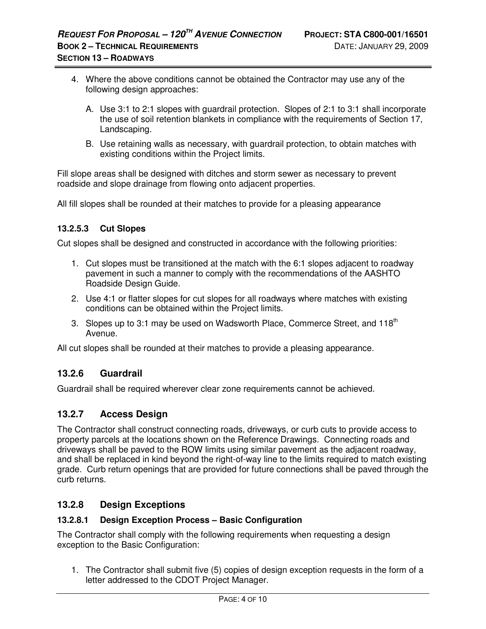- 4. Where the above conditions cannot be obtained the Contractor may use any of the following design approaches:
	- A. Use 3:1 to 2:1 slopes with guardrail protection. Slopes of 2:1 to 3:1 shall incorporate the use of soil retention blankets in compliance with the requirements of Section 17, Landscaping.
	- B. Use retaining walls as necessary, with guardrail protection, to obtain matches with existing conditions within the Project limits.

Fill slope areas shall be designed with ditches and storm sewer as necessary to prevent roadside and slope drainage from flowing onto adjacent properties.

All fill slopes shall be rounded at their matches to provide for a pleasing appearance

#### **13.2.5.3 Cut Slopes**

Cut slopes shall be designed and constructed in accordance with the following priorities:

- 1. Cut slopes must be transitioned at the match with the 6:1 slopes adjacent to roadway pavement in such a manner to comply with the recommendations of the AASHTO Roadside Design Guide.
- 2. Use 4:1 or flatter slopes for cut slopes for all roadways where matches with existing conditions can be obtained within the Project limits.
- 3. Slopes up to 3:1 may be used on Wadsworth Place, Commerce Street, and 118<sup>th</sup> Avenue.

All cut slopes shall be rounded at their matches to provide a pleasing appearance.

# **13.2.6 Guardrail**

Guardrail shall be required wherever clear zone requirements cannot be achieved.

## **13.2.7 Access Design**

The Contractor shall construct connecting roads, driveways, or curb cuts to provide access to property parcels at the locations shown on the Reference Drawings. Connecting roads and driveways shall be paved to the ROW limits using similar pavement as the adjacent roadway, and shall be replaced in kind beyond the right-of-way line to the limits required to match existing grade. Curb return openings that are provided for future connections shall be paved through the curb returns.

## **13.2.8 Design Exceptions**

#### **13.2.8.1 Design Exception Process – Basic Configuration**

The Contractor shall comply with the following requirements when requesting a design exception to the Basic Configuration:

1. The Contractor shall submit five (5) copies of design exception requests in the form of a letter addressed to the CDOT Project Manager.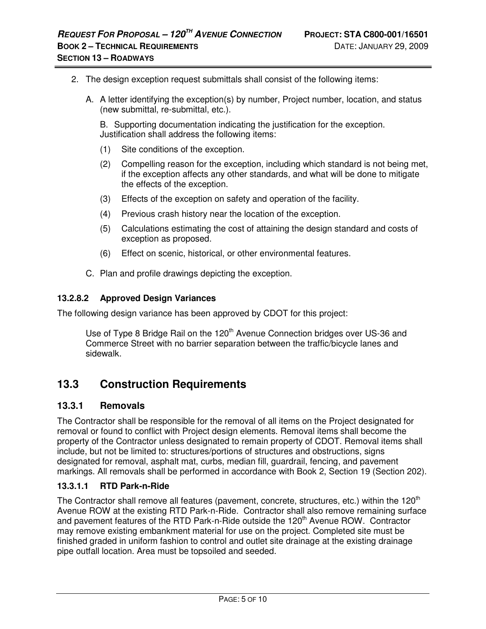- 2. The design exception request submittals shall consist of the following items:
	- A. A letter identifying the exception(s) by number, Project number, location, and status (new submittal, re-submittal, etc.).

B. Supporting documentation indicating the justification for the exception. Justification shall address the following items:

- (1) Site conditions of the exception.
- (2) Compelling reason for the exception, including which standard is not being met, if the exception affects any other standards, and what will be done to mitigate the effects of the exception.
- (3) Effects of the exception on safety and operation of the facility.
- (4) Previous crash history near the location of the exception.
- (5) Calculations estimating the cost of attaining the design standard and costs of exception as proposed.
- (6) Effect on scenic, historical, or other environmental features.
- C. Plan and profile drawings depicting the exception.

#### **13.2.8.2 Approved Design Variances**

The following design variance has been approved by CDOT for this project:

Use of Type 8 Bridge Rail on the  $120<sup>th</sup>$  Avenue Connection bridges over US-36 and Commerce Street with no barrier separation between the traffic/bicycle lanes and sidewalk.

# **13.3 Construction Requirements**

#### **13.3.1 Removals**

The Contractor shall be responsible for the removal of all items on the Project designated for removal or found to conflict with Project design elements. Removal items shall become the property of the Contractor unless designated to remain property of CDOT. Removal items shall include, but not be limited to: structures/portions of structures and obstructions, signs designated for removal, asphalt mat, curbs, median fill, guardrail, fencing, and pavement markings. All removals shall be performed in accordance with Book 2, Section 19 (Section 202).

#### **13.3.1.1 RTD Park-n-Ride**

The Contractor shall remove all features (pavement, concrete, structures, etc.) within the  $120<sup>th</sup>$ Avenue ROW at the existing RTD Park-n-Ride. Contractor shall also remove remaining surface and pavement features of the RTD Park-n-Ride outside the 120<sup>th</sup> Avenue ROW. Contractor may remove existing embankment material for use on the project. Completed site must be finished graded in uniform fashion to control and outlet site drainage at the existing drainage pipe outfall location. Area must be topsoiled and seeded.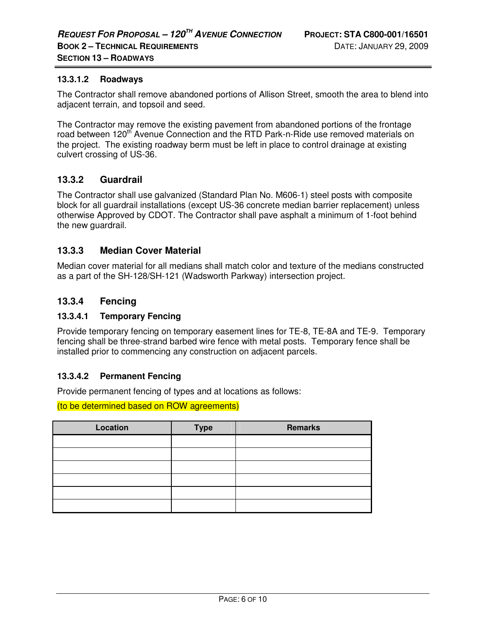### **13.3.1.2 Roadways**

The Contractor shall remove abandoned portions of Allison Street, smooth the area to blend into adjacent terrain, and topsoil and seed.

The Contractor may remove the existing pavement from abandoned portions of the frontage road between 120<sup>th</sup> Avenue Connection and the RTD Park-n-Ride use removed materials on the project. The existing roadway berm must be left in place to control drainage at existing culvert crossing of US-36.

## **13.3.2 Guardrail**

The Contractor shall use galvanized (Standard Plan No. M606-1) steel posts with composite block for all guardrail installations (except US-36 concrete median barrier replacement) unless otherwise Approved by CDOT. The Contractor shall pave asphalt a minimum of 1-foot behind the new guardrail.

### **13.3.3 Median Cover Material**

Median cover material for all medians shall match color and texture of the medians constructed as a part of the SH-128/SH-121 (Wadsworth Parkway) intersection project.

## **13.3.4 Fencing**

#### **13.3.4.1 Temporary Fencing**

Provide temporary fencing on temporary easement lines for TE-8, TE-8A and TE-9. Temporary fencing shall be three-strand barbed wire fence with metal posts. Temporary fence shall be installed prior to commencing any construction on adjacent parcels.

#### **13.3.4.2 Permanent Fencing**

Provide permanent fencing of types and at locations as follows:

(to be determined based on ROW agreements)

| Location | <b>Type</b> | <b>Remarks</b> |  |  |  |  |  |
|----------|-------------|----------------|--|--|--|--|--|
|          |             |                |  |  |  |  |  |
|          |             |                |  |  |  |  |  |
|          |             |                |  |  |  |  |  |
|          |             |                |  |  |  |  |  |
|          |             |                |  |  |  |  |  |
|          |             |                |  |  |  |  |  |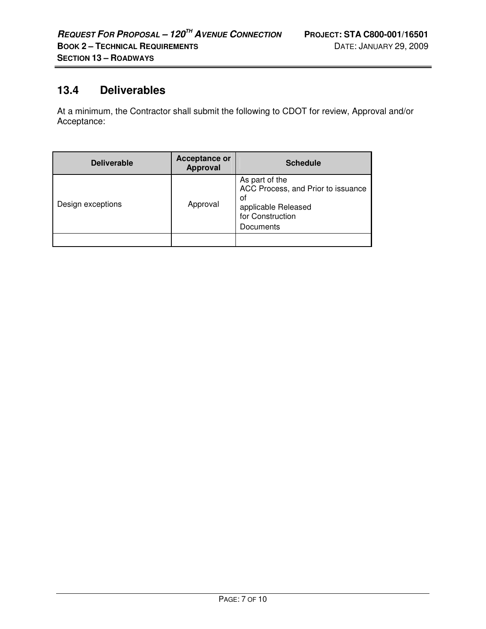i.

# **13.4 Deliverables**

At a minimum, the Contractor shall submit the following to CDOT for review, Approval and/or Acceptance:

| <b>Deliverable</b> | <b>Acceptance or</b><br><b>Approval</b> | <b>Schedule</b>                                                                                                    |
|--------------------|-----------------------------------------|--------------------------------------------------------------------------------------------------------------------|
| Design exceptions  | Approval                                | As part of the<br>ACC Process, and Prior to issuance<br>οf<br>applicable Released<br>for Construction<br>Documents |
|                    |                                         |                                                                                                                    |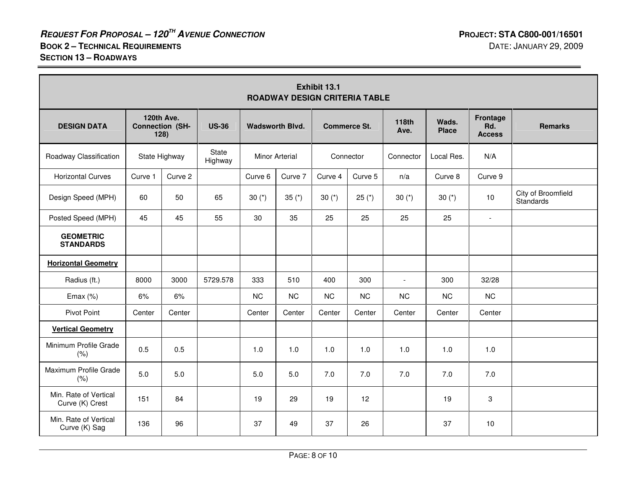| Exhibit 13.1<br><b>ROADWAY DESIGN CRITERIA TABLE</b> |                                                              |         |                        |                       |                     |           |                      |                       |                                         |                |                                 |
|------------------------------------------------------|--------------------------------------------------------------|---------|------------------------|-----------------------|---------------------|-----------|----------------------|-----------------------|-----------------------------------------|----------------|---------------------------------|
| <b>DESIGN DATA</b>                                   | 120th Ave.<br><b>Connection (SH-</b><br><b>US-36</b><br>128) |         | <b>Wadsworth Blvd.</b> |                       | <b>Commerce St.</b> |           | <b>118th</b><br>Ave. | Wads.<br><b>Place</b> | <b>Frontage</b><br>Rd.<br><b>Access</b> | <b>Remarks</b> |                                 |
| Roadway Classification                               | State Highway                                                |         | State<br>Highway       | <b>Minor Arterial</b> |                     | Connector |                      | Connector             | Local Res.                              | N/A            |                                 |
| <b>Horizontal Curves</b>                             | Curve 1                                                      | Curve 2 |                        | Curve 6               | Curve 7             | Curve 4   | Curve 5              | n/a                   | Curve 8                                 | Curve 9        |                                 |
| Design Speed (MPH)                                   | 60                                                           | 50      | 65                     | 30 $(*)$              | 35 $(*)$            | 30 $(*)$  | $25 (*)$             | 30 $(*)$              | 30 $(*)$                                | 10             | City of Broomfield<br>Standards |
| Posted Speed (MPH)                                   | 45                                                           | 45      | 55                     | 30                    | 35                  | 25        | 25                   | 25                    | 25                                      | $\blacksquare$ |                                 |
| <b>GEOMETRIC</b><br><b>STANDARDS</b>                 |                                                              |         |                        |                       |                     |           |                      |                       |                                         |                |                                 |
| <b>Horizontal Geometry</b>                           |                                                              |         |                        |                       |                     |           |                      |                       |                                         |                |                                 |
| Radius (ft.)                                         | 8000                                                         | 3000    | 5729.578               | 333                   | 510                 | 400       | 300                  | $\blacksquare$        | 300                                     | 32/28          |                                 |
| Emax $(%)$                                           | 6%                                                           | 6%      |                        | <b>NC</b>             | NC                  | NC        | NC                   | <b>NC</b>             | NC                                      | <b>NC</b>      |                                 |
| <b>Pivot Point</b>                                   | Center                                                       | Center  |                        | Center                | Center              | Center    | Center               | Center                | Center                                  | Center         |                                 |
| <b>Vertical Geometry</b>                             |                                                              |         |                        |                       |                     |           |                      |                       |                                         |                |                                 |
| Minimum Profile Grade<br>(% )                        | 0.5                                                          | 0.5     |                        | 1.0                   | 1.0                 | 1.0       | 1.0                  | 1.0                   | 1.0                                     | 1.0            |                                 |
| Maximum Profile Grade<br>(% )                        | 5.0                                                          | 5.0     |                        | 5.0                   | 5.0                 | 7.0       | 7.0                  | 7.0                   | 7.0                                     | 7.0            |                                 |
| Min. Rate of Vertical<br>Curve (K) Crest             | 151                                                          | 84      |                        | 19                    | 29                  | 19        | 12                   |                       | 19                                      | 3              |                                 |
| Min. Rate of Vertical<br>Curve (K) Sag               | 136                                                          | 96      |                        | 37                    | 49                  | 37        | 26                   |                       | 37                                      | 10             |                                 |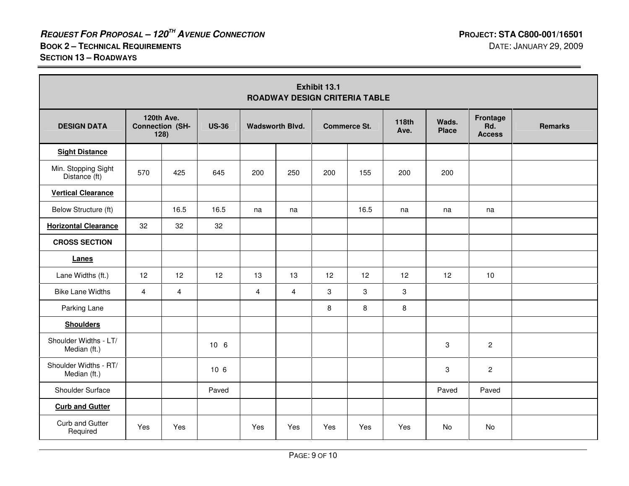$\overline{\phantom{0}}$ 

| Exhibit 13.1<br><b>ROADWAY DESIGN CRITERIA TABLE</b> |                |                                                              |                 |                        |                |                     |      |                      |                       |                                  |                |
|------------------------------------------------------|----------------|--------------------------------------------------------------|-----------------|------------------------|----------------|---------------------|------|----------------------|-----------------------|----------------------------------|----------------|
| <b>DESIGN DATA</b>                                   |                | 120th Ave.<br><b>Connection (SH-</b><br><b>US-36</b><br>128) |                 | <b>Wadsworth Blvd.</b> |                | <b>Commerce St.</b> |      | <b>118th</b><br>Ave. | Wads.<br><b>Place</b> | Frontage<br>Rd.<br><b>Access</b> | <b>Remarks</b> |
| <b>Sight Distance</b>                                |                |                                                              |                 |                        |                |                     |      |                      |                       |                                  |                |
| Min. Stopping Sight<br>Distance (ft)                 | 570            | 425                                                          | 645             | 200                    | 250            | 200                 | 155  | 200                  | 200                   |                                  |                |
| <b>Vertical Clearance</b>                            |                |                                                              |                 |                        |                |                     |      |                      |                       |                                  |                |
| Below Structure (ft)                                 |                | 16.5                                                         | 16.5            | na                     | na             |                     | 16.5 | na                   | na                    | na                               |                |
| <b>Horizontal Clearance</b>                          | 32             | 32                                                           | 32              |                        |                |                     |      |                      |                       |                                  |                |
| <b>CROSS SECTION</b>                                 |                |                                                              |                 |                        |                |                     |      |                      |                       |                                  |                |
| Lanes                                                |                |                                                              |                 |                        |                |                     |      |                      |                       |                                  |                |
| Lane Widths (ft.)                                    | 12             | 12                                                           | 12              | 13                     | 13             | 12                  | 12   | 12                   | 12                    | 10                               |                |
| <b>Bike Lane Widths</b>                              | $\overline{4}$ | $\overline{4}$                                               |                 | $\overline{4}$         | $\overline{4}$ | 3                   | 3    | 3                    |                       |                                  |                |
| Parking Lane                                         |                |                                                              |                 |                        |                | 8                   | 8    | 8                    |                       |                                  |                |
| <b>Shoulders</b>                                     |                |                                                              |                 |                        |                |                     |      |                      |                       |                                  |                |
| Shoulder Widths - LT/<br>Median (ft.)                |                |                                                              | 10 <sub>6</sub> |                        |                |                     |      |                      | 3                     | $\overline{c}$                   |                |
| Shoulder Widths - RT/<br>Median (ft.)                |                |                                                              | 106             |                        |                |                     |      |                      | 3                     | $\overline{c}$                   |                |
| Shoulder Surface                                     |                |                                                              | Paved           |                        |                |                     |      |                      | Paved                 | Paved                            |                |
| <b>Curb and Gutter</b>                               |                |                                                              |                 |                        |                |                     |      |                      |                       |                                  |                |
| Curb and Gutter<br>Required                          | Yes            | Yes                                                          |                 | Yes                    | Yes            | Yes                 | Yes  | Yes                  | No                    | No                               |                |